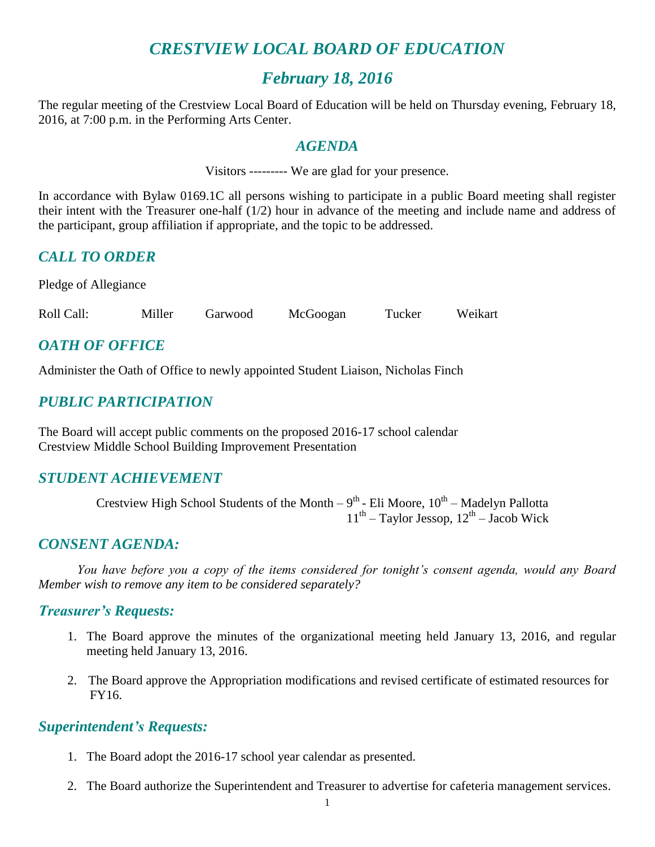## *CRESTVIEW LOCAL BOARD OF EDUCATION*

## *February 18, 2016*

The regular meeting of the Crestview Local Board of Education will be held on Thursday evening, February 18, 2016, at 7:00 p.m. in the Performing Arts Center.

#### *AGENDA*

Visitors --------- We are glad for your presence.

In accordance with Bylaw 0169.1C all persons wishing to participate in a public Board meeting shall register their intent with the Treasurer one-half (1/2) hour in advance of the meeting and include name and address of the participant, group affiliation if appropriate, and the topic to be addressed.

## *CALL TO ORDER*

Pledge of Allegiance

Roll Call: Miller Garwood McGoogan Tucker Weikart

## *OATH OF OFFICE*

Administer the Oath of Office to newly appointed Student Liaison, Nicholas Finch

## *PUBLIC PARTICIPATION*

The Board will accept public comments on the proposed 2016-17 school calendar Crestview Middle School Building Improvement Presentation

#### *STUDENT ACHIEVEMENT*

Crestview High School Students of the Month  $-9^{th}$  - Eli Moore,  $10^{th}$  – Madelyn Pallotta  $11<sup>th</sup>$  – Taylor Jessop,  $12<sup>th</sup>$  – Jacob Wick

#### *CONSENT AGENDA:*

*You have before you a copy of the items considered for tonight's consent agenda, would any Board Member wish to remove any item to be considered separately?*

#### *Treasurer's Requests:*

- 1. The Board approve the minutes of the organizational meeting held January 13, 2016, and regular meeting held January 13, 2016.
- 2. The Board approve the Appropriation modifications and revised certificate of estimated resources for FY16.

#### *Superintendent's Requests:*

- 1. The Board adopt the 2016-17 school year calendar as presented.
- 2. The Board authorize the Superintendent and Treasurer to advertise for cafeteria management services.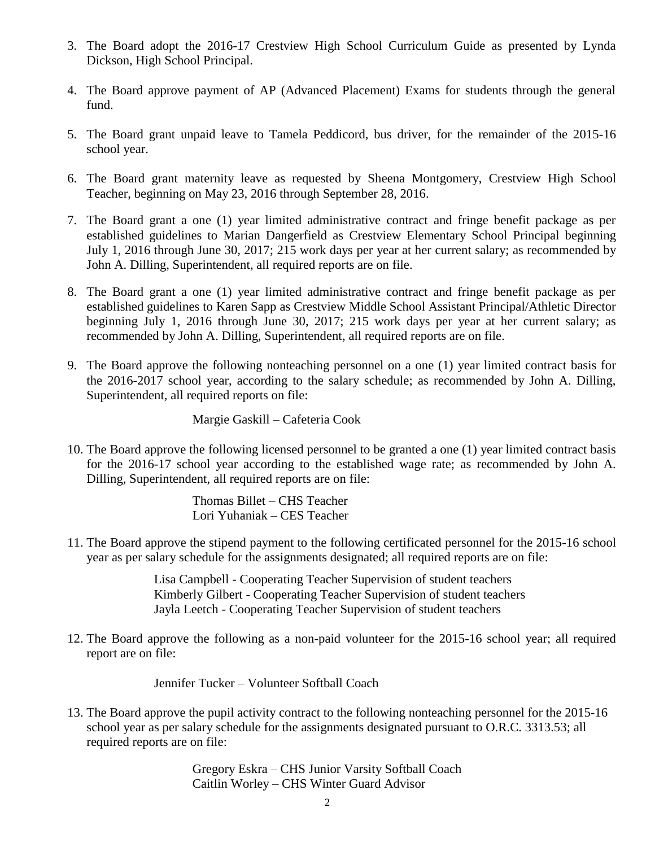- 3. The Board adopt the 2016-17 Crestview High School Curriculum Guide as presented by Lynda Dickson, High School Principal.
- 4. The Board approve payment of AP (Advanced Placement) Exams for students through the general fund.
- 5. The Board grant unpaid leave to Tamela Peddicord, bus driver, for the remainder of the 2015-16 school year.
- 6. The Board grant maternity leave as requested by Sheena Montgomery, Crestview High School Teacher, beginning on May 23, 2016 through September 28, 2016.
- 7. The Board grant a one (1) year limited administrative contract and fringe benefit package as per established guidelines to Marian Dangerfield as Crestview Elementary School Principal beginning July 1, 2016 through June 30, 2017; 215 work days per year at her current salary; as recommended by John A. Dilling, Superintendent, all required reports are on file.
- 8. The Board grant a one (1) year limited administrative contract and fringe benefit package as per established guidelines to Karen Sapp as Crestview Middle School Assistant Principal/Athletic Director beginning July 1, 2016 through June 30, 2017; 215 work days per year at her current salary; as recommended by John A. Dilling, Superintendent, all required reports are on file.
- 9. The Board approve the following nonteaching personnel on a one (1) year limited contract basis for the 2016-2017 school year, according to the salary schedule; as recommended by John A. Dilling, Superintendent, all required reports on file:

Margie Gaskill – Cafeteria Cook

10. The Board approve the following licensed personnel to be granted a one (1) year limited contract basis for the 2016-17 school year according to the established wage rate; as recommended by John A. Dilling, Superintendent, all required reports are on file:

> Thomas Billet – CHS Teacher Lori Yuhaniak – CES Teacher

11. The Board approve the stipend payment to the following certificated personnel for the 2015-16 school year as per salary schedule for the assignments designated; all required reports are on file:

> Lisa Campbell - Cooperating Teacher Supervision of student teachers Kimberly Gilbert - Cooperating Teacher Supervision of student teachers Jayla Leetch - Cooperating Teacher Supervision of student teachers

12. The Board approve the following as a non-paid volunteer for the 2015-16 school year; all required report are on file:

Jennifer Tucker – Volunteer Softball Coach

13. The Board approve the pupil activity contract to the following nonteaching personnel for the 2015-16 school year as per salary schedule for the assignments designated pursuant to O.R.C. 3313.53; all required reports are on file:

> Gregory Eskra – CHS Junior Varsity Softball Coach Caitlin Worley – CHS Winter Guard Advisor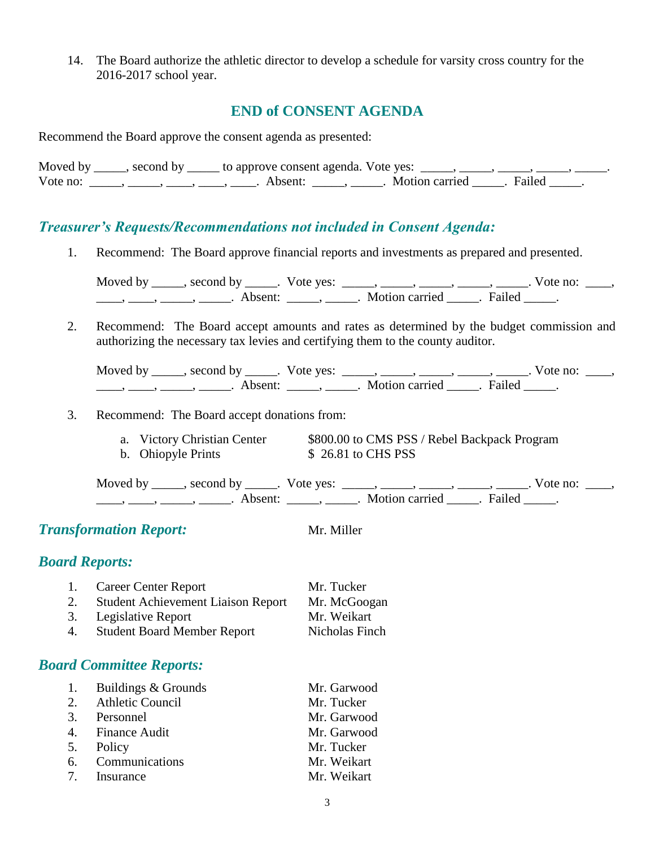14. The Board authorize the athletic director to develop a schedule for varsity cross country for the 2016-2017 school year.

#### **END of CONSENT AGENDA**

Recommend the Board approve the consent agenda as presented:

Moved by  $\_\_\_\_\$ , second by  $\_\_\_\_$  to approve consent agenda. Vote yes:  $\_\_\_\_\_\_\_\_\_\_\_\_\_$ Vote no: \_\_\_\_\_, \_\_\_\_\_, \_\_\_\_, \_\_\_\_, Absent: \_\_\_\_\_, \_\_\_\_\_. Motion carried \_\_\_\_\_. Failed \_\_\_\_\_.

#### *Treasurer's Requests/Recommendations not included in Consent Agenda:*

1. Recommend: The Board approve financial reports and investments as prepared and presented.

Moved by \_\_\_\_\_, second by \_\_\_\_\_. Vote yes:  $\frac{1}{\sqrt{2}}$ , \_\_\_\_, \_\_\_\_, \_\_\_\_, \_\_\_\_. Vote no: \_\_\_, \_\_\_\_, \_\_\_\_\_, \_\_\_\_\_\_, Absent: \_\_\_\_\_, \_\_\_\_\_. Motion carried \_\_\_\_\_. Failed \_\_\_\_\_.

2. Recommend: The Board accept amounts and rates as determined by the budget commission and authorizing the necessary tax levies and certifying them to the county auditor.

| Moved by | second by | Vote yes: |                |        | $\sqrt{\text{ote}}$ no: |  |
|----------|-----------|-----------|----------------|--------|-------------------------|--|
|          | hsent     |           | Motion carried | Failed |                         |  |

- 3. Recommend: The Board accept donations from:
	- a. Victory Christian Center \$800.00 to CMS PSS / Rebel Backpack Program b. Ohiopyle Prints \$ 26.81 to CHS PSS

Moved by \_\_\_\_\_, second by \_\_\_\_\_. Vote yes:  $\frac{1}{\sqrt{2}}$ , \_\_\_\_, \_\_\_\_, \_\_\_\_, \_\_\_\_. Vote no: \_\_\_, \_\_\_\_\_, \_\_\_\_\_\_, \_\_\_\_\_\_\_. Absent: \_\_\_\_\_\_, \_\_\_\_\_\_. Motion carried \_\_\_\_\_\_. Failed \_\_\_\_\_.

**Transformation Report:** Mr. Miller

#### *Board Reports:*

| 1. | <b>Career Center Report</b>               | Mr. Tucker     |
|----|-------------------------------------------|----------------|
| 2. | <b>Student Achievement Liaison Report</b> | Mr. McGoogan   |
|    | 3. Legislative Report                     | Mr. Weikart    |
| 4. | <b>Student Board Member Report</b>        | Nicholas Finch |

#### *Board Committee Reports:*

| 1. Buildings & Grounds | Mr. Garwood |
|------------------------|-------------|
| 2. Athletic Council    | Mr. Tucker  |
| 3. Personnel           | Mr. Garwood |
| 4. Finance Audit       | Mr. Garwood |
| 5. Policy              | Mr. Tucker  |
| 6. Communications      | Mr. Weikart |
| 7. Insurance           | Mr. Weikart |